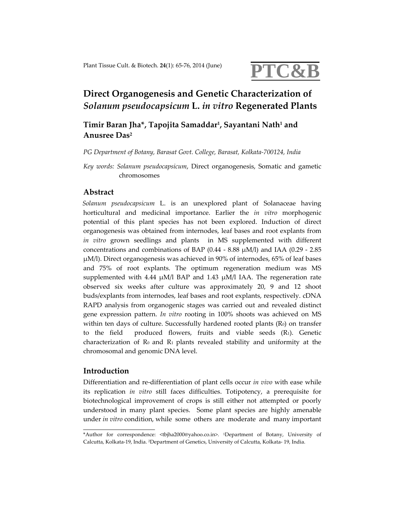

# **Direct Organogenesis and Genetic Characterization of** *Solanum pseudocapsicum* **L.** *in vitro* **Regenerated Plants**

## **Timir Baran Jha\*, Tapojita Samaddar1, Sayantani Nath1 and Anusree Das2**

*PG Department of Botany, Barasat Govt. College, Barasat, Kolkata‐700124, India*

*Key words: Solanum pseudocapsicum*, Direct organogenesis, Somatic and gametic chromosomes

## **Abstract**

*Solanum pseudocapsicum* L. is an unexplored plant of Solanaceae having horticultural and medicinal importance. Earlier the *in vitro* morphogenic potential of this plant species has not been explored. Induction of direct organogenesis was obtained from internodes, leaf bases and root explants from *in vitro* grown seedlings and plants in MS supplemented with different concentrations and combinations of BAP (0.44 ‐ 8.88 μM/l) and IAA (0.29 ‐ 2.85 μM/l). Direct organogenesis was achieved in 90% of internodes, 65% of leaf bases and 75% of root explants. The optimum regeneration medium was MS supplemented with 4.44  $\mu$ M/l BAP and 1.43  $\mu$ M/l IAA. The regeneration rate observed six weeks after culture was approximately 20, 9 and 12 shoot buds/explants from internodes, leaf bases and root explants, respectively. cDNA RAPD analysis from organogenic stages was carried out and revealed distinct gene expression pattern. *In vitro* rooting in 100% shoots was achieved on MS within ten days of culture. Successfully hardened rooted plants  $(R_0)$  on transfer to the field produced flowers, fruits and viable seeds  $(R_1)$ . Genetic characterization of  $\mathbb{R}_0$  and  $\mathbb{R}_1$  plants revealed stability and uniformity at the chromosomal and genomic DNA level.

### **Introduction**

Differentiation and re-differentiation of plant cells occur *in vivo* with ease while its replication *in vitro* still faces difficulties. Totipotency, a prerequisite for biotechnological improvement of crops is still either not attempted or poorly understood in many plant species. Some plant species are highly amenable under *in vitro* condition, while some others are moderate and many important

<sup>\*</sup>Author for correspondence: <tbjha2000@yahoo.co.in>. 1Department of Botany, University of Calcutta, Kolkata‐19, India. 2Department of Genetics, University of Calcutta, Kolkata‐ 19, India.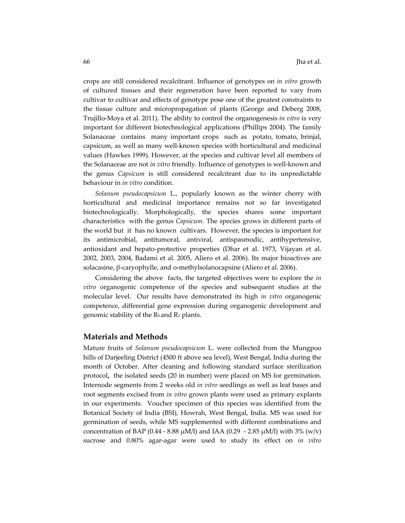crops are still considered recalcitrant. Influence of genotypes on *in vitro* growth of cultured tissues and their regeneration have been reported to vary from cultivar to cultivar and effects of genotype pose one of the greatest constraints to the tissue culture and micropropagation of plants (George and Deberg 2008, Trujillo‐Moya et al. 2011). The ability to control the organogenesis *in vitro* is very important for different biotechnological applications (Phillips 2004). The family Solanaceae contains many important crops such as potato, tomato, brinjal, capsicum, as well as many well‐known species with horticultural and medicinal values (Hawkes 1999). However, at the species and cultivar level all members of the Solanaceae are not *in vitro* friendly. Influence of genotypes is well‐known and the genus *Capsicum* is still considered recalcitrant due to its unpredictable behaviour in *in vitro* condition.

*Solanum pseudocapsicum* L., popularly known as the winter cherry with horticultural and medicinal importance remains not so far investigated biotechnologically. Morphologically, the species shares some important characteristics with the genus *Capsicum.* The species grows in different parts of the world but it has no known cultivars. However, the species is important for its antimicrobial, antitumoral, antiviral, antispasmodic, antihypertensive, antioxidant and hepato‐protective properties (Dhar et al. 1973, Vijayan et al. 2002, 2003, 2004, Badami et al. 2005, Aliero et al. 2006). Its major bioactives are solacasine, β-caryophylle, and o-methylsolanocapsine (Aliero et al. 2006).

Considering the above facts, the targeted objectives were to explore the *in vitro* organogenic competence of the species and subsequent studies at the molecular level. Our results have demonstrated its high *in vitro* organogenic competence, differential gene expression during organogenic development and genomic stability of the  $R_0$  and  $R_1$  plants.

#### **Materials and Methods**

Mature fruits of *Solanum pseudocapsicum* L. were collected from the Mungpoo hills of Darjeeling District (4500 ft above sea level), West Bengal, India during the month of October. After cleaning and following standard surface sterilization protocol**,** the isolated seeds (20 in number) were placed on MS for germination. Internode segments from 2 weeks old *in vitro* seedlings as well as leaf bases and root segments excised from *in vitro* grown plants were used as primary explants in our experiments. Voucher specimen of this species was identified from the Botanical Society of India (BSI), Howrah, West Bengal, India. MS was used for germination of seeds, while MS supplemented with different combinations and concentration of BAP (0.44 - 8.88 μM/l) and IAA (0.29 - 2.85 μM/l) with 3% (w/v) sucrose and 0.80% agar‐agar were used to study its effect on *in vitro*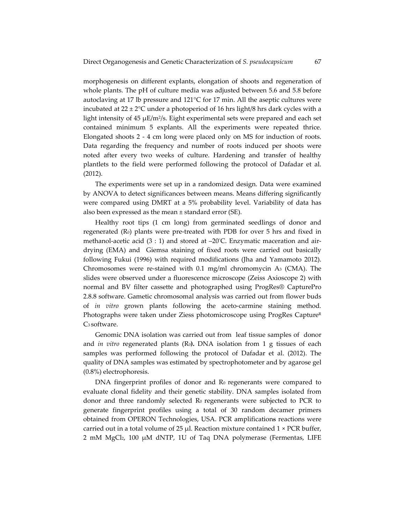morphogenesis on different explants, elongation of shoots and regeneration of whole plants. The pH of culture media was adjusted between 5.6 and 5.8 before autoclaving at 17 lb pressure and  $121^{\circ}$ C for 17 min. All the aseptic cultures were incubated at  $22 \pm 2$ °C under a photoperiod of 16 hrs light/8 hrs dark cycles with a light intensity of 45  $\mu$ E/m<sup>2</sup>/s. Eight experimental sets were prepared and each set contained minimum 5 explants. All the experiments were repeated thrice. Elongated shoots 2 ‐ 4 cm long were placed only on MS for induction of roots. Data regarding the frequency and number of roots induced per shoots were noted after every two weeks of culture. Hardening and transfer of healthy plantlets to the field were performed following the protocol of Dafadar et al. (2012).

The experiments were set up in a randomized design. Data were examined by ANOVA to detect significances between means. Means differing significantly were compared using DMRT at a 5% probability level. Variability of data has also been expressed as the mean ± standard error (SE).

Healthy root tips (1 cm long) from germinated seedlings of donor and regenerated (R0) plants were pre‐treated with PDB for over 5 hrs and fixed in methanol‐acetic acid (3 : 1) and stored at –20° C. Enzymatic maceration and air‐ drying (EMA) and Giemsa staining of fixed roots were carried out basically following Fukui (1996) with required modifications (Jha and Yamamoto 2012). Chromosomes were re-stained with 0.1 mg/ml chromomycin A<sub>3</sub> (CMA). The slides were observed under a fluorescence microscope (Zeiss Axioscope 2) with normal and BV filter cassette and photographed using ProgRes® CapturePro 2.8.8 software. Gametic chromosomal analysis was carried out from flower buds of *in vitro* grown plants following the aceto‐carmine staining method*.* Photographs were taken under Ziess photomicroscope using ProgRes Capture<sup>R</sup> C<sub>3</sub> software.

Genomic DNA isolation was carried out from leaf tissue samples of donor and *in vitro* regenerated plants (R0**).** DNA isolation from 1 g tissues of each samples was performed following the protocol of Dafadar et al. (2012). The quality of DNA samples was estimated by spectrophotometer and by agarose gel (0.8%) electrophoresis.

 $DNA$  fingerprint profiles of donor and  $R<sub>0</sub>$  regenerants were compared to evaluate clonal fidelity and their genetic stability. DNA samples isolated from donor and three randomly selected R0 regenerants were subjected to PCR to generate fingerprint profiles using a total of 30 random decamer primers obtained from OPERON Technologies, USA. PCR amplifications reactions were carried out in a total volume of 25 μl. Reaction mixture contained  $1 \times PCR$  buffer, 2 mM  $MgCl<sub>2</sub>$ , 100  $\mu$ M dNTP, 1U of Taq DNA polymerase (Fermentas, LIFE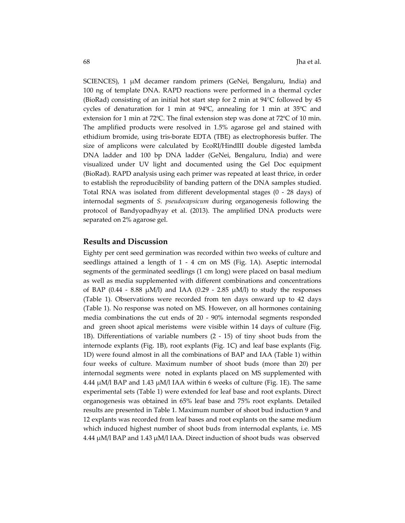SCIENCES), 1 μM decamer random primers (GeNei, Bengaluru, India) and 100 ng of template DNA. RAPD reactions were performed in a thermal cycler (BioRad) consisting of an initial hot start step for 2 min at  $94^{\circ}$ C followed by 45 cycles of denaturation for 1 min at 94ºC, annealing for 1 min at 35ºC and extension for 1 min at 72ºC. The final extension step was done at 72ºC of 10 min. The amplified products were resolved in 1.5% agarose gel and stained with ethidium bromide, using tris‐borate EDTA (TBE) as electrophoresis buffer. The size of amplicons were calculated by EcoRI/HindIII double digested lambda DNA ladder and 100 bp DNA ladder (GeNei, Bengaluru, India) and were visualized under UV light and documented using the Gel Doc equipment (BioRad). RAPD analysis using each primer was repeated at least thrice, in order to establish the reproducibility of banding pattern of the DNA samples studied. Total RNA was isolated from different developmental stages (0 ‐ 28 days) of internodal segments of *S. pseudocapsicum* during organogenesis following the protocol of Bandyopadhyay et al. (2013). The amplified DNA products were separated on 2% agarose gel.

#### **Results and Discussion**

Eighty per cent seed germination was recorded within two weeks of culture and seedlings attained a length of 1 - 4 cm on MS (Fig. 1A). Aseptic internodal segments of the germinated seedlings (1 cm long) were placed on basal medium as well as media supplemented with different combinations and concentrations of BAP (0.44 - 8.88  $\mu$ M/l) and IAA (0.29 - 2.85  $\mu$ M/l) to study the responses (Table 1). Observations were recorded from ten days onward up to 42 days (Table 1). No response was noted on MS. However, on all hormones containing media combinations the cut ends of 20 - 90% internodal segments responded and green shoot apical meristems were visible within 14 days of culture (Fig. 1B). Differentiations of variable numbers (2 ‐ 15) of tiny shoot buds from the internode explants (Fig. 1B), root explants (Fig. 1C) and leaf base explants (Fig. 1D) were found almost in all the combinations of BAP and IAA (Table 1) within four weeks of culture. Maximum number of shoot buds (more than 20) per internodal segments were noted in explants placed on MS supplemented with 4.44 μM/l BAP and 1.43 μM/l IAA within 6 weeks of culture (Fig. 1E). The same experimental sets (Table 1) were extended for leaf base and root explants. Direct organogenesis was obtained in 65% leaf base and 75% root explants. Detailed results are presented in Table 1. Maximum number of shoot bud induction 9 and 12 explants was recorded from leaf bases and root explants on the same medium which induced highest number of shoot buds from internodal explants, i.e. MS 4.44 μM/l BAP and 1.43 μM/l IAA. Direct induction of shoot buds was observed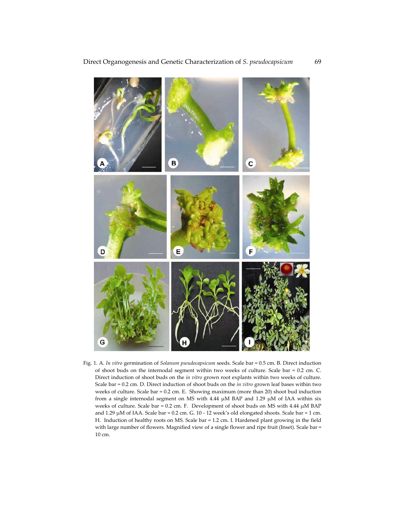

Fig. 1. A. *In vitro* germination of *Solanum pseudocapsicum* seeds. Scale bar = 0.5 cm. B. Direct induction of shoot buds on the internodal segment within two weeks of culture. Scale bar = 0.2 cm. C. Direct induction of shoot buds on the *in vitro* grown root explants within two weeks of culture. Scale bar = 0.2 cm. D. Direct induction of shoot buds on the *in vitro* grown leaf bases within two weeks of culture. Scale bar = 0.2 cm. E. Showing maximum (more than 20) shoot bud induction from a single internodal segment on MS with 4.44 μM BAP and 1.29 μM of IAA within six weeks of culture. Scale bar = 0.2 cm. F. Development of shoot buds on MS with 4.44 μM BAP and 1.29 μM of IAA. Scale bar = 0.2 cm. G. 10 ‐ 12 week's old elongated shoots. Scale bar = 1 cm. H. Induction of healthy roots on MS. Scale bar = 1.2 cm. I. Hardened plant growing in the field with large number of flowers. Magnified view of a single flower and ripe fruit (Inset). Scale bar = 10 cm.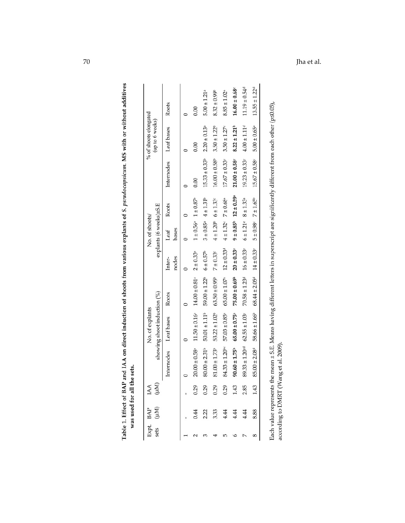|  |                                          |                             | Roots      |       | 0.00                                                | $5.00 \pm 1.21$ <sup>a</sup>                        | $8.32 \pm 0.99^{\circ}$                   | $8.85 \pm 1.02$ <sup>a</sup>                   | $16.00 \pm 0.68$                           | $11.19 \pm 0.54$ <sup>d</sup>                                | $13.55 \pm 1.22^d$                                          |                                |
|--|------------------------------------------|-----------------------------|------------|-------|-----------------------------------------------------|-----------------------------------------------------|-------------------------------------------|------------------------------------------------|--------------------------------------------|--------------------------------------------------------------|-------------------------------------------------------------|--------------------------------|
|  | % of shoots elongated<br>(up to 6 weeks) |                             | Leaf bases |       | 0.00                                                | $2.20 \pm 0.13$ <sup>a</sup>                        | $3.50 \pm 1.22^b$                         | $3.50 \pm 1.27$                                | $8.22 \pm 1.21^b$                          | $4.00 \pm 1.11$ <sup>d</sup>                                 | $5.00 \pm 0.65$ <sup>a</sup>                                |                                |
|  |                                          |                             | Internodes |       | 0.00                                                | $15.33 \pm 0.33^b$                                  | $16.00 \pm 0.58^{\circ}$                  | $17.67 \pm 0.33$                               | $21.00 \pm 0.58$                           | $19.23 \pm 0.33$                                             | $15.67 \pm 0.58$                                            |                                |
|  | No. of shoots/                           | explants (6 weeks)±S.E      | Roots      |       |                                                     |                                                     |                                           |                                                | $9 \pm 0.85^{\circ}$ $12 \pm 0.59^{\circ}$ |                                                              |                                                             | $\sim$<br>$\ddot{\phantom{a}}$ |
|  |                                          |                             | Leaf       | bases | $1 \pm 0.56$ <sup>a</sup> $1 \pm 0.87$ <sup>b</sup> | $3 \pm 0.85$ <sup>a</sup> $4 \pm 1.31$ <sup>b</sup> | $4 \pm 1.20^{\circ}$ 6 $\pm 1.33^{\circ}$ | $4 \pm 1.32$ $7 \pm 0.68$ <sup>a</sup>         |                                            | $6 \pm 1.21$ $8 \pm 1.33$ <sup>3</sup>                       | $5 \pm 0.98$ $7 \pm 1.65$                                   |                                |
|  |                                          |                             | Inter-     | nodes | $2 \pm 0.33^{a}$                                    | $6 \pm 0.57^{\rm b}$                                | $7 \pm 0.33$                              |                                                | $20 \pm 0.33$ <sup>e</sup>                 |                                                              |                                                             |                                |
|  | No. of explants                          | showing shoot induction (%) | Roots      |       | $14.00 \pm 0.81$ <sup>a</sup>                       | $59.00 \pm 1.22^b$                                  | $63.50 \pm 0.95^{\circ}$                  | $65.00 \pm 1.07^{\circ}$ $12 \pm 0.33^{\circ}$ | $75.00 \pm 0.69^b$                         | $70.58 \pm 1.23$ <sup>d</sup> $16 \pm 0.33$ <sup>e</sup>     | $68.44 \pm 2.05^d$ 14 $\pm 0.33^e$                          | $\ddot{\phantom{a}}$           |
|  |                                          |                             | Leaf bases |       | $11.50 \pm 0.16^a$                                  | $50.01 \pm 1.11^b$                                  | $53.22 \pm 1.02^b$                        | $57.03 \pm 0.85$ <sup>a</sup>                  | $65.00 \pm 0.75$ <sup>a</sup>              |                                                              | $85.00 \pm 2.08$ <sup>d</sup> 58.66 $\pm 1.66$ <sup>b</sup> |                                |
|  |                                          |                             | Internodes |       | $20.00 \pm 0.58$ <sup>a</sup>                       | $80.00 \pm 2.31^b$                                  | $81.00 \pm 1.73$                          | $84.33 \pm 1.20$ <sup>bc</sup>                 | $90.60 \pm 1.75^b$                         | $89.33 \pm 1.20$ <sup>cd</sup> $62.55 \pm 1.03$ <sup>c</sup> |                                                             |                                |
|  | (AN)<br>(AN)                             |                             |            |       | 0.29                                                |                                                     |                                           |                                                |                                            |                                                              |                                                             |                                |
|  | Expt. BAP                                | (µM)                        |            |       | 0.44                                                |                                                     |                                           |                                                | 21 32 4 4 4<br>21 32 4 4 4                 |                                                              | 8.88                                                        |                                |
|  |                                          |                             |            |       |                                                     |                                                     |                                           |                                                |                                            |                                                              | 8                                                           |                                |

| ŀ                               | à           |
|---------------------------------|-------------|
| a n                             | :<br>:<br>ć |
| $\frac{1}{2}$<br>$\overline{a}$ |             |
|                                 | I           |
|                                 |             |
|                                 | ą           |
| Table 1 Effort<br>l<br>l<br>I   |             |

Each value represents the mean ± S.E. Means having different letters in superscript are significantly different from each other (p≤0.05), according to DMRT (Wang et al. 2009).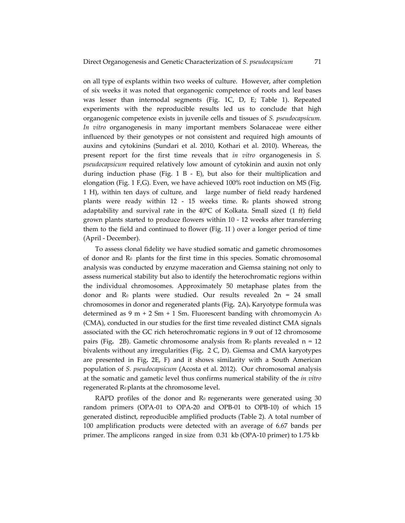on all type of explants within two weeks of culture. However, after completion of six weeks it was noted that organogenic competence of roots and leaf bases was lesser than internodal segments (Fig. 1C, D, E; Table 1). Repeated experiments with the reproducible results led us to conclude that high organogenic competence exists in juvenile cells and tissues of *S. pseudocapsicum. In vitro* organogenesis in many important members Solanaceae were either influenced by their genotypes or not consistent and required high amounts of auxins and cytokinins (Sundari et al. 2010, Kothari et al. 2010). Whereas, the present report for the first time reveals that *in vitro* organogenesis in *S. pseudocapsicum* required relatively low amount of cytokinin and auxin not only during induction phase (Fig.  $1$  B - E), but also for their multiplication and elongation (Fig. 1 F,G). Even, we have achieved 100% root induction on MS (Fig. 1 H), within ten days of culture, and large number of field ready hardened plants were ready within  $12 - 15$  weeks time. R<sub>0</sub> plants showed strong adaptability and survival rate in the 40ºC of Kolkata. Small sized (1 ft) field grown plants started to produce flowers within 10 ‐ 12 weeks after transferring them to the field and continued to flower (Fig. 1I ) over a longer period of time (April ‐ December).

To assess clonal fidelity we have studied somatic and gametic chromosomes of donor and R0 plants for the first time in this species. Somatic chromosomal analysis was conducted by enzyme maceration and Giemsa staining not only to assess numerical stability but also to identify the heterochromatic regions within the individual chromosomes. Approximately 50 metaphase plates from the donor and  $\rm R_0$  plants were studied. Our results revealed  $\rm 2n = 24$  small chromosomes in donor and regenerated plants (Fig**.** 2A)**.** Karyotype formula was determined as 9 m + 2 Sm + 1 Sm. Fluorescent banding with chromomycin  $A_3$ (CMA), conducted in our studies for the first time revealed distinct CMA signals associated with the GC rich heterochromatic regions in 9 out of 12 chromosome pairs (Fig. 2B). Gametic chromosome analysis from  $\mathbb{R}^0$  plants revealed  $n = 12$ bivalents without any irregularities (Fig**.** 2 C, D). Giemsa and CMA karyotypes are presented in Fig**.** 2E, F) and it shows similarity with a South American population of *S. pseudocapsicum* (Acosta et al. 2012). Our chromosomal analysis at the somatic and gametic level thus confirms numerical stability of the *in vitro* regenerated R<sub>0</sub> plants at the chromosome level.

RAPD profiles of the donor and  $R_0$  regenerants were generated using 30 random primers (OPA‐01 to OPA‐20 and OPB‐01 to OPB‐10) of which 15 generated distinct, reproducible amplified products (Table 2). A total number of 100 amplification products were detected with an average of 6.67 bands per primer. The amplicons ranged in size from 0.31 kb (OPA‐10 primer) to 1.75 kb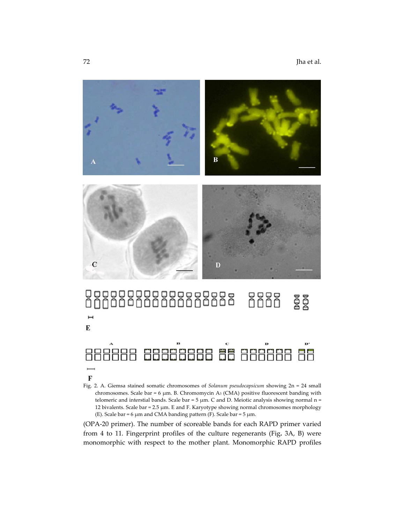

# gg<br>gg  $\mathbf{I}$ E 888888 6666666 66 866666 66 F

Fig. 2. A. Giemsa stained somatic chromosomes of *Solanum pseudocapsicum* showing 2n = 24 small chromosomes. Scale bar = 6 μm. B. Chromomycin A3 (CMA) positive fluorescent banding with telomeric and interstial bands. Scale bar =  $5 \mu$ m. C and D. Meiotic analysis showing normal n = 12 bivalents. Scale bar = 2.5 μm. E and F. Karyotype showing normal chromosomes morphology (E). Scale bar = 6  $\mu$ m and CMA banding pattern (F). Scale bar = 5  $\mu$ m.

(OPA‐20 primer). The number of scoreable bands for each RAPD primer varied from 4 to 11. Fingerprint profiles of the culture regenerants (Fig**.** 3A, B) were monomorphic with respect to the mother plant. Monomorphic RAPD profiles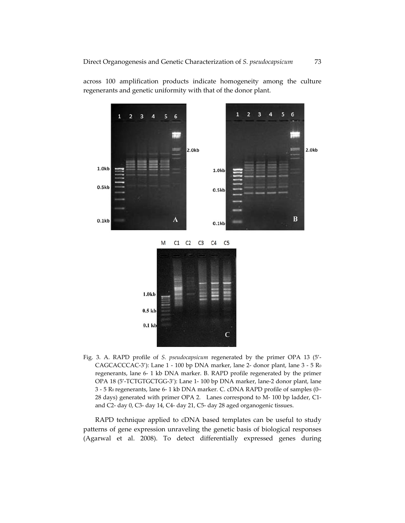

across 100 amplification products indicate homogeneity among the culture regenerants and genetic uniformity with that of the donor plant.

Fig. 3. A. RAPD profile of *S. pseudocapsicum* regenerated by the primer OPA 13 (5'‐ CAGCACCCAC-3'): Lane 1 - 100 bp DNA marker, lane 2- donor plant, lane 3 - 5 Ro regenerants, lane 6‐ 1 kb DNA marker. B. RAPD profile regenerated by the primer OPA 18 (5'‐TCTGTGCTGG‐3'): Lane 1‐ 100 bp DNA marker, lane‐2 donor plant, lane 3 ‐ 5 R0 regenerants, lane 6‐ 1 kb DNA marker. C. cDNA RAPD profile of samples (0– 28 days) generated with primer OPA 2. Lanes correspond to M-100 bp ladder, C1and C2‐ day 0, C3‐ day 14, C4‐ day 21, C5‐ day 28 aged organogenic tissues.

RAPD technique applied to cDNA based templates can be useful to study patterns of gene expression unraveling the genetic basis of biological responses (Agarwal et al. 2008). To detect differentially expressed genes during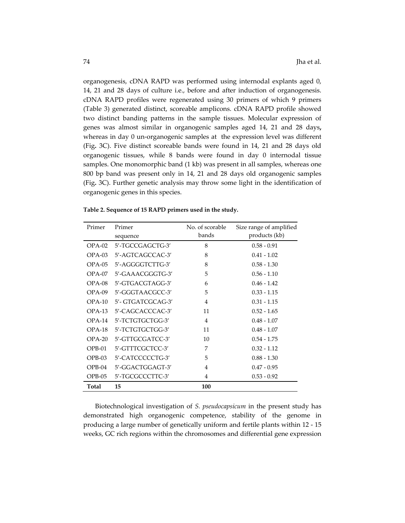organogenesis, cDNA RAPD was performed using internodal explants aged 0, 14, 21 and 28 days of culture i.e., before and after induction of organogenesis. cDNA RAPD profiles were regenerated using 30 primers of which 9 primers (Table 3) generated distinct, scoreable amplicons. cDNA RAPD profile showed two distinct banding patterns in the sample tissues. Molecular expression of genes was almost similar in organogenic samples aged 14, 21 and 28 days**,** whereas in day 0 un-organogenic samples at the expression level was different (Fig**.** 3C). Five distinct scoreable bands were found in 14, 21 and 28 days old organogenic tissues, while 8 bands were found in day 0 internodal tissue samples. One monomorphic band (1 kb) was present in all samples, whereas one 800 bp band was present only in 14, 21 and 28 days old organogenic samples (Fig**.** 3C). Further genetic analysis may throw some light in the identification of organogenic genes in this species.

| Primer   | Primer            | No. of scorable | Size range of amplified |  |
|----------|-------------------|-----------------|-------------------------|--|
|          | sequence          | bands           | products (kb)           |  |
| $OPA-02$ | 5'-TGCCGAGCTG-3'  | 8               | $0.58 - 0.91$           |  |
| OPA-03   | 5'-AGTCAGCCAC-3'  | 8               | $0.41 - 1.02$           |  |
| $OPA-05$ | 5'-AGGGGTCTTG-3'  | 8               | $0.58 - 1.30$           |  |
| $OPA-07$ | 5'-GAAACGGGTG-3'  | 5               | $0.56 - 1.10$           |  |
| OPA-08   | 5'-GTGACGTAGG-3'  | 6               | $0.46 - 1.42$           |  |
| OPA-09   | 5'-GGGTAACGCC-3'  | 5               | $0.33 - 1.15$           |  |
| $OPA-10$ | 5'- GTGATCGCAG-3' | 4               | $0.31 - 1.15$           |  |
| OPA-13   | 5'-CAGCACCCAC-3'  | 11              | $0.52 - 1.65$           |  |
| $OPA-14$ | 5'-TCTGTGCTGG-3'  | $\overline{4}$  | $0.48 - 1.07$           |  |
| OPA-18   | 5'-TCTGTGCTGG-3'  | 11              | $0.48 - 1.07$           |  |
| $OPA-20$ | 5'-GTTGCGATCC-3'  | 10              | $0.54 - 1.75$           |  |
| $OPB-01$ | 5'-GTTTCGCTCC-3'  | 7               | $0.32 - 1.12$           |  |
| $OPB-03$ | 5'-CATCCCCCTG-3'  | 5               | $0.88 - 1.30$           |  |
| $OPB-04$ | 5'-GGACTGGAGT-3'  | 4               | $0.47 - 0.95$           |  |
| OPB-05   | 5'-TGCGCCCTTC-3'  | 4               | $0.53 - 0.92$           |  |
| Total    | 15                | 100             |                         |  |

**Table 2. Sequence of 15 RAPD primers used in the study.**

Biotechnological investigation of *S. pseudocapsicum* in the present study has demonstrated high organogenic competence, stability of the genome in producing a large number of genetically uniform and fertile plants within 12 ‐ 15 weeks, GC rich regions within the chromosomes and differential gene expression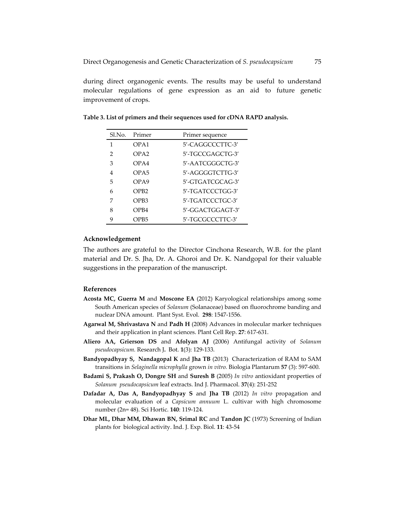during direct organogenic events. The results may be useful to understand molecular regulations of gene expression as an aid to future genetic improvement of crops.

| Sl.No.        | Primer           | Primer sequence     |
|---------------|------------------|---------------------|
| 1             | OPA1             | 5'-CAGGCCCTTC-3'    |
| $\mathcal{P}$ | OPA2             | 5'-TGCCGAGCTG-3'    |
| 3             | OPA4             | 5'-AATCGGGCTG-3'    |
| 4             | OPA <sub>5</sub> | 5'-AGGGGTCTTG-3'    |
| 5             | OPA9             | $5'$ -GTGATCGCAG-3' |
| 6             | OPB <sub>2</sub> | 5'-TGATCCCTGG-3'    |
| 7             | OPB <sub>3</sub> | 5'-TGATCCCTGC-3'    |
| 8             | OPB4             | 5'-GGACTGGAGT-3'    |
| q             | OPB5             | 5'-TGCGCCCTTC-3'    |

**Table 3. List of primers and their sequences used for cDNA RAPD analysis.**

#### **Acknowledgement**

The authors are grateful to the Director Cinchona Research, W.B. for the plant material and Dr. S. Jha, Dr. A. Ghoroi and Dr. K. Nandgopal for their valuable suggestions in the preparation of the manuscript.

#### **References**

- **Acosta MC, Guerra M** and **Moscone EA** (2012) Karyological relationships among some South American species of *Solanum* (Solanaceae) based on fluorochrome banding and nuclear DNA amount. Plant Syst. Evol. **298**: 1547‐1556.
- **Agarwal M, Shrivastava N** and **Padh H** (2008) Advances in molecular marker techniques and their application in plant sciences. Plant Cell Rep. **27**: 617‐631.
- **Aliero AA, Grierson DS** and **Afolyan AJ** (2006) Antifungal activity of *Solanum pseudocapsicum.* Research J**.** Bot. **1**(3): 129‐133.
- **Bandyopadhyay S, Nandagopal K** and **Jha TB** (2013) Characterization of RAM to SAM transitions in *Selaginella microphylla* grown *in vitro.* Biologia Plantarum **57** (3): 597‐600.
- **Badami S, Prakash O, Dongre SH** and **Suresh B** (2005) *In vitro* antioxidant properties of *Solanum pseudocapsicum* leaf extracts. Ind J. Pharmacol. **37**(4): 251‐252
- **Dafadar A, Das A, Bandyopadhyay S** and **Jha TB** (2012) *In vitro* propagation and molecular evaluation of a *Capsicum annuum* L. cultivar with high chromosome number (2n= 48). Sci Hortic. **140**: 119‐124.
- **Dhar ML, Dhar MM, Dhawan BN, Srimal RC** and **Tandon JC** (1973) Screening of Indian plants for biological activity. Ind. J. Exp. Biol. **11**: 43‐54